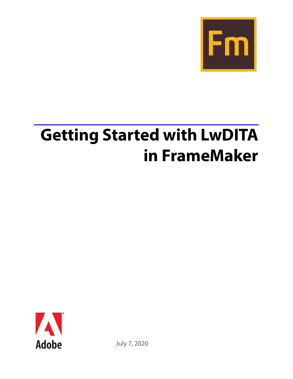

# **Getting Started with LwDITA in FrameMaker**



July 7, 2020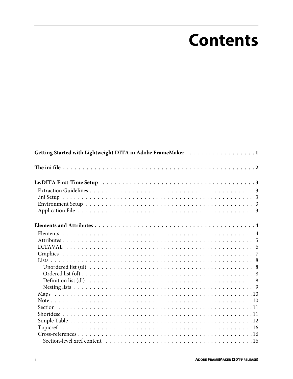# **Contents**

| Getting Started with Lightweight DITA in Adobe FrameMaker 1 |  |  |  |  |  |  |
|-------------------------------------------------------------|--|--|--|--|--|--|
|                                                             |  |  |  |  |  |  |
|                                                             |  |  |  |  |  |  |
|                                                             |  |  |  |  |  |  |
|                                                             |  |  |  |  |  |  |
|                                                             |  |  |  |  |  |  |
|                                                             |  |  |  |  |  |  |
|                                                             |  |  |  |  |  |  |
|                                                             |  |  |  |  |  |  |
|                                                             |  |  |  |  |  |  |
|                                                             |  |  |  |  |  |  |
|                                                             |  |  |  |  |  |  |
|                                                             |  |  |  |  |  |  |
|                                                             |  |  |  |  |  |  |
|                                                             |  |  |  |  |  |  |
|                                                             |  |  |  |  |  |  |
|                                                             |  |  |  |  |  |  |
|                                                             |  |  |  |  |  |  |
|                                                             |  |  |  |  |  |  |
|                                                             |  |  |  |  |  |  |
|                                                             |  |  |  |  |  |  |
|                                                             |  |  |  |  |  |  |
|                                                             |  |  |  |  |  |  |
|                                                             |  |  |  |  |  |  |
|                                                             |  |  |  |  |  |  |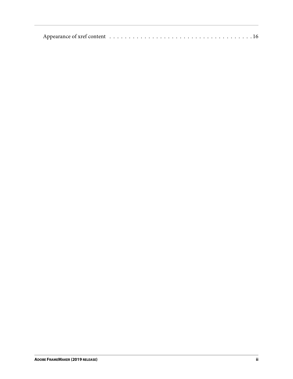|--|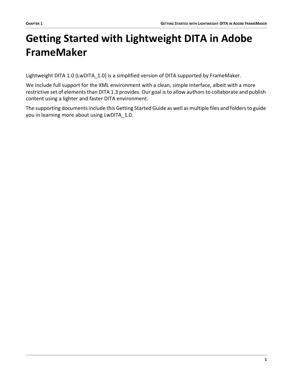# <span id="page-3-0"></span>**Getting Started with Lightweight DITA in Adobe FrameMaker**

Lightweight DITA 1.0 (LwDITA\_1.0) is a simplified version of DITA supported by FrameMaker.

We include full support for the XML environment with a clean, simple interface, albeit with a more restrictive set of elements than DITA 1.3 provides. Our goal is to allow authors to collaborate and publish content using a lighter and faster DITA environment.

The supporting documents include this Getting Started Guide as well as multiple files and folders to guide you in learning more about using LwDITA\_1.0.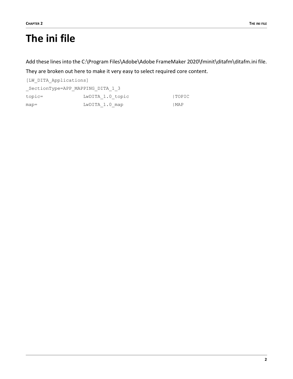# <span id="page-4-0"></span>**The ini file**

Add these lines into the C:\Program Files\Adobe\Adobe FrameMaker 2020\fminit\ditafm\ditafm.ini file.

They are broken out here to make it very easy to select required core content.

[LW\_DITA\_Applications] \_SectionType=APP\_MAPPING\_DITA\_1\_3 topic= LwDITA 1.0 topic |TOPIC map=  $LwDITA_1.0_map$  |MAP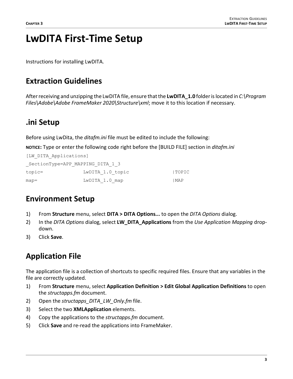# <span id="page-5-0"></span>**LwDITA First-Time Setup**

Instructions for installing LwDITA.

# <span id="page-5-1"></span>**Extraction Guidelines**

After receiving and unzipping the LwDITA file, ensure that the **LwDITA\_1.0** folder is located in *C:\Program Files\Adobe\Adobe FrameMaker 2020\Structure\xml*; move it to this location if necessary.

# <span id="page-5-2"></span>**.ini Setup**

Before using LwDita, the *ditafm.ini* file must be edited to include the following:

**NOTICE:** Type or enter the following code right before the [BUILD FILE] section in *ditafm.ini*

| [LW DITA Applications] |                                  |              |
|------------------------|----------------------------------|--------------|
|                        | SectionType=APP MAPPING DITA 1 3 |              |
| $topic =$              | LwDITA 1.0 topic                 | <b>TOPIC</b> |
| $map =$                | LwDITA 1.0 map                   | I MAP        |

# <span id="page-5-3"></span>**Environment Setup**

- 1) From **Structure** menu, select **DITA > DITA Options...** to open the *DITA Options* dialog.
- 2) In the *DITA Options* dialog, select **LW\_DITA\_Applications** from the *Use Application Mapping* dropdown.
- 3) Click **Save**.

# <span id="page-5-4"></span>**Application File**

The application file is a collection of shortcuts to specific required files. Ensure that any variables in the file are correctly updated.

- 1) From **Structure** menu, select **Application Definition > Edit Global Application Definitions** to open the *structapps.fm* document.
- 2) Open the *structapps\_DITA\_LW\_Only.fm* file.
- 3) Select the two **XMLApplication** elements.
- 4) Copy the applications to the *structapps.fm* document.
- 5) Click **Save** and re-read the applications into FrameMaker.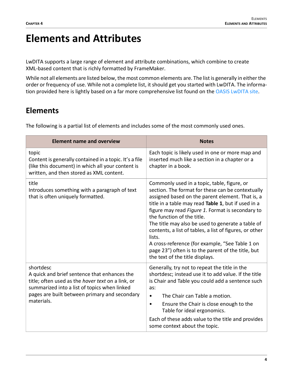# <span id="page-6-0"></span>**Elements and Attributes**

LwDITA supports a large range of element and attribute combinations, which combine to create XML-based content that is richly formatted by FrameMaker.

While not all elements are listed below, the most common elements are. The list is generally in either the order or frequency of use. While not a complete list, it should get you started with LwDITA. The informa-tion provided here is lightly based on a far more comprehensive list found on the [OASIS LwDITA site.](http://docs.oasis-open.org/dita/LwDITA/v1.0/LwDITA-v1.0.html)

# <span id="page-6-1"></span>**Elements**

The following is a partial list of elements and includes some of the most commonly used ones.

| <b>Element name and overview</b>                                                                                                                                                                                                     | <b>Notes</b>                                                                                                                                                                                                                                                                                                                                                                                                                                                                                                                                                        |
|--------------------------------------------------------------------------------------------------------------------------------------------------------------------------------------------------------------------------------------|---------------------------------------------------------------------------------------------------------------------------------------------------------------------------------------------------------------------------------------------------------------------------------------------------------------------------------------------------------------------------------------------------------------------------------------------------------------------------------------------------------------------------------------------------------------------|
| topic<br>Content is generally contained in a topic. It's a file<br>(like this document) in which all your content is<br>written, and then stored as XML content.                                                                     | Each topic is likely used in one or more map and<br>inserted much like a section in a chapter or a<br>chapter in a book.                                                                                                                                                                                                                                                                                                                                                                                                                                            |
| title<br>Introduces something with a paragraph of text<br>that is often uniquely formatted.                                                                                                                                          | Commonly used in a topic, table, figure, or<br>section. The format for these can be contextually<br>assigned based on the parent element. That is, a<br>title in a table may read Table 1, but if used in a<br>figure may read Figure 1. Format is secondary to<br>the function of the title.<br>The title may also be used to generate a table of<br>contents, a list of tables, a list of figures, or other<br>lists.<br>A cross-reference (for example, "See Table 1 on<br>page 23") often is to the parent of the title, but<br>the text of the title displays. |
| shortdesc<br>A quick and brief sentence that enhances the<br>title; often used as the <i>hover text</i> on a link, or<br>summarized into a list of topics when linked<br>pages are built between primary and secondary<br>materials. | Generally, try not to repeat the title in the<br>shortdesc; instead use it to add value. If the title<br>is Chair and Table you could add a sentence such<br>as:<br>The Chair can Table a motion.<br>$\bullet$<br>Ensure the Chair is close enough to the<br>$\bullet$<br>Table for ideal ergonomics.<br>Each of these adds value to the title and provides<br>some context about the topic.                                                                                                                                                                        |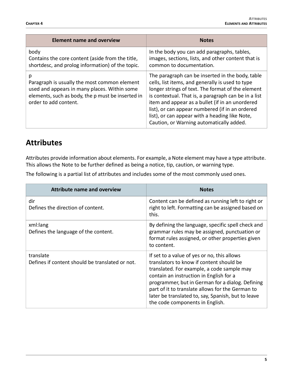| <b>Element name and overview</b>                                                                                                                                                | <b>Notes</b>                                                                                                                                                                                                                                                                                                                                                                                                          |
|---------------------------------------------------------------------------------------------------------------------------------------------------------------------------------|-----------------------------------------------------------------------------------------------------------------------------------------------------------------------------------------------------------------------------------------------------------------------------------------------------------------------------------------------------------------------------------------------------------------------|
| body<br>Contains the core content (aside from the title,<br>shortdesc, and prolog information) of the topic.                                                                    | In the body you can add paragraphs, tables,<br>images, sections, lists, and other content that is<br>common to documentation.                                                                                                                                                                                                                                                                                         |
| р<br>Paragraph is usually the most common element<br>used and appears in many places. Within some<br>elements, such as body, the p must be inserted in<br>order to add content. | The paragraph can be inserted in the body, table<br>cells, list items, and generally is used to type<br>longer strings of text. The format of the element<br>is contextual. That is, a paragraph can be in a list<br>item and appear as a bullet (if in an unordered<br>list), or can appear numbered (if in an ordered<br>list), or can appear with a heading like Note,<br>Caution, or Warning automatically added. |

# <span id="page-7-0"></span>**Attributes**

Attributes provide information about elements. For example, a Note element may have a type attribute. This allows the Note to be further defined as being a notice, tip, caution, or warning type.

The following is a partial list of attributes and includes some of the most commonly used ones.

| <b>Attribute name and overview</b>                           | <b>Notes</b>                                                                                                                                                                                                                                                                                                                                                                      |
|--------------------------------------------------------------|-----------------------------------------------------------------------------------------------------------------------------------------------------------------------------------------------------------------------------------------------------------------------------------------------------------------------------------------------------------------------------------|
| dir<br>Defines the direction of content.                     | Content can be defined as running left to right or<br>right to left. Formatting can be assigned based on<br>this.                                                                                                                                                                                                                                                                 |
| xml:lang<br>Defines the language of the content.             | By defining the language, specific spell check and<br>grammar rules may be assigned, punctuation or<br>format rules assigned, or other properties given<br>to content.                                                                                                                                                                                                            |
| translate<br>Defines if content should be translated or not. | If set to a value of yes or no, this allows<br>translators to know if content should be<br>translated. For example, a code sample may<br>contain an instruction in English for a<br>programmer, but in German for a dialog. Defining<br>part of it to translate allows for the German to<br>later be translated to, say, Spanish, but to leave<br>the code components in English. |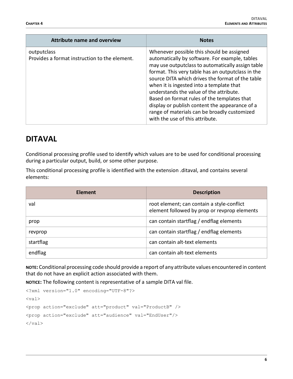| <b>Attribute name and overview</b>                           | <b>Notes</b>                                                                                                                                                                                                                                                                                                                                                                                                                                                                                                                         |
|--------------------------------------------------------------|--------------------------------------------------------------------------------------------------------------------------------------------------------------------------------------------------------------------------------------------------------------------------------------------------------------------------------------------------------------------------------------------------------------------------------------------------------------------------------------------------------------------------------------|
| outputclass<br>Provides a format instruction to the element. | Whenever possible this should be assigned<br>automatically by software. For example, tables<br>may use outputclass to automatically assign table<br>format. This very table has an outputclass in the<br>source DITA which drives the format of the table<br>when it is ingested into a template that<br>understands the value of the attribute.<br>Based on format rules of the templates that<br>display or publish content the appearance of a<br>range of materials can be broadly customized<br>with the use of this attribute. |

### <span id="page-8-0"></span>**DITAVAL**

Conditional processing profile used to identify which values are to be used for conditional processing during a particular output, build, or some other purpose.

This conditional processing profile is identified with the extension .ditaval, and contains several elements:

| <b>Element</b> | <b>Description</b>                                                                         |
|----------------|--------------------------------------------------------------------------------------------|
| val            | root element; can contain a style-conflict<br>element followed by prop or revprop elements |
| prop           | can contain startflag / endflag elements                                                   |
| revprop        | can contain startflag / endflag elements                                                   |
| startflag      | can contain alt-text elements                                                              |
| endflag        | can contain alt-text elements                                                              |

**NOTE:** Conditional processing code should provide a report of any attribute values encountered in content that do not have an explicit action associated with them.

**NOTICE:** The following content is representative of a sample DITA val file.

```
<?xml version="1.0" encoding="UTF-8"?>
<val><prop action="exclude" att="product" val="ProductB" />
<prop action="exclude" att="audience" val="EndUser"/>
\langle/val\rangle
```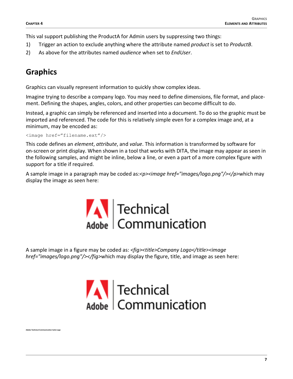This val support publishing the ProductA for Admin users by suppressing two things:

- 1) Trigger an action to exclude anything where the attribute named *product* is set to *ProductB*.
- 2) As above for the attributes named *audience* when set to *EndUser*.

# <span id="page-9-0"></span>**Graphics**

**Adobe Technical Communication Suite Logo**

Graphics can visually represent information to quickly show complex ideas.

Imagine trying to describe a company logo. You may need to define dimensions, file format, and placement. Defining the shapes, angles, colors, and other properties can become difficult to do.

Instead, a graphic can simply be referenced and inserted into a document. To do so the graphic must be imported and referenced. The code for this is relatively simple even for a complex image and, at a minimum, may be encoded as:

<image href="filename.ext"/>

This code defines an *element*, *attribute*, and *value*. This information is transformed by software for on-screen or print display. When shown in a tool that works with DITA, the image may appear as seen in the following samples, and might be inline, below a line, or even a part of a more complex figure with support for a title if required.

A sample image in a paragraph may be coded as:*<p><image href="images/logo.png"/></p>*which may display the image as seen here:



A sample image in a figure may be coded as: *<fig><title>Company Logo</title><image href="images/logo.png"/></fig>*which may display the figure, title, and image as seen here:

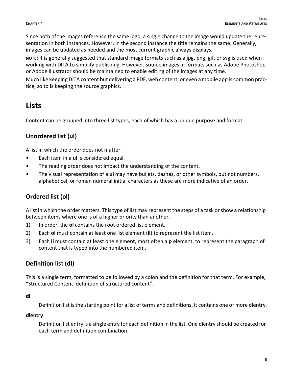Since both of the images reference the same logo, a single change to the image would update the representation in both instances. However, in the second instance the title remains the same. Generally, images can be updated as needed and the most current graphic always displays.

**NOTE:** It is generally suggested that standard image formats such as a jpg, png, gif, or svg is used when working with DITA to simplify publishing. However, source images in formats such as Adobe Photoshop or Adobe Illustrator should be maintained to enable editing of the images at any time.

Much like keeping DITA content but delivering a PDF, web content, or even a mobile app is common practice, so to is keeping the source graphics.

### <span id="page-10-0"></span>**Lists**

Content can be grouped into three list types, each of which has a unique purpose and format.

#### <span id="page-10-1"></span>**Unordered list (ul)**

A list in which the order does not matter.

- Each item in a **ul** is considered equal.
- The reading order does not impact the understanding of the content.
- The visual representation of a **ul** may have bullets, dashes, or other symbols, but not numbers, alphabetical, or roman numeral initial characters as these are more indicative of an order.

#### <span id="page-10-2"></span>**Ordered list (ol)**

A list in which the order matters. This type of list may represent the steps of a task or show a relationship between items where one is of a higher priority than another.

- 1) In order, the **ol** contains the root ordered list element.
- 2) Each **ol** must contain at least one list element (**li**) to represent the list item.
- 3) Each **li** must contain at least one element, most often a **p** element, to represent the paragraph of content that is typed into the numbered item.

#### <span id="page-10-3"></span>**Definition list (dl)**

This is a single term, formatted to be followed by a colon and the definition for that term. For example, "Structured Content: definition of structured content".

**dl**

Definition list is the starting point for a list of terms and definitions. It contains one or more dlentry.

#### **dlentry**

Definition list entry is a single entry for each definition in the list. One dlentry should be created for each term and definition combination.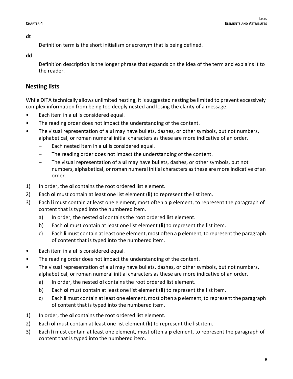#### **dt**

Definition term is the short initialism or acronym that is being defined.

#### **dd**

Definition description is the longer phrase that expands on the idea of the term and explains it to the reader.

#### <span id="page-11-0"></span>**Nesting lists**

While DITA technically allows unlimited nesting, it is suggested nesting be limited to prevent excessively complex information from being too deeply nested and losing the clarity of a message.

- Each item in a **ul** is considered equal.
- The reading order does not impact the understanding of the content.
- The visual representation of a **ul** may have bullets, dashes, or other symbols, but not numbers, alphabetical, or roman numeral initial characters as these are more indicative of an order.
	- Each nested item in a **ul** is considered equal.
	- The reading order does not impact the understanding of the content.
	- The visual representation of a **ul** may have bullets, dashes, or other symbols, but not numbers, alphabetical, or roman numeral initial characters as these are more indicative of an order.
- 1) In order, the **ol** contains the root ordered list element.
- 2) Each **ol** must contain at least one list element (**li**) to represent the list item.
- 3) Each **li** must contain at least one element, most often a **p** element, to represent the paragraph of content that is typed into the numbered item.
	- a) In order, the nested **ol** contains the root ordered list element.
	- b) Each **ol** must contain at least one list element (**li**) to represent the list item.
	- c) Each **li** must contain at least one element, most often a **p** element, to represent the paragraph of content that is typed into the numbered item.
- Each item in a **ul** is considered equal.
- The reading order does not impact the understanding of the content.
- The visual representation of a **ul** may have bullets, dashes, or other symbols, but not numbers, alphabetical, or roman numeral initial characters as these are more indicative of an order.
	- a) In order, the nested **ol** contains the root ordered list element.
	- b) Each **ol** must contain at least one list element (**li**) to represent the list item.
	- c) Each **li** must contain at least one element, most often a **p** element, to represent the paragraph of content that is typed into the numbered item.
- 1) In order, the **ol** contains the root ordered list element.
- 2) Each **ol** must contain at least one list element (**li**) to represent the list item.
- 3) Each **li** must contain at least one element, most often a **p** element, to represent the paragraph of content that is typed into the numbered item.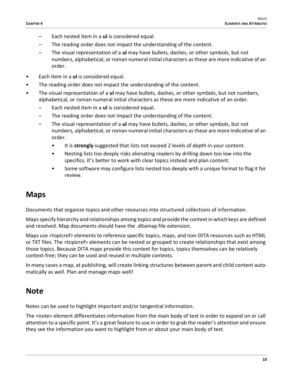- Each nested item in a **ul** is considered equal.
- The reading order does not impact the understanding of the content.
- The visual representation of a **ul** may have bullets, dashes, or other symbols, but not numbers, alphabetical, or roman numeral initial characters as these are more indicative of an order.
- Each item in a **ul** is considered equal.
- The reading order does not impact the understanding of the content.
- The visual representation of a **ul** may have bullets, dashes, or other symbols, but not numbers, alphabetical, or roman numeral initial characters as these are more indicative of an order.
	- Each nested item in a **ul** is considered equal.
	- The reading order does not impact the understanding of the content.
	- The visual representation of a **ul** may have bullets, dashes, or other symbols, but not numbers, alphabetical, or roman numeral initial characters as these are more indicative of an order.
		- It is **strongly** suggested that lists not exceed 2 levels of depth in your content.
		- Nesting lists too deeply risks alienating readers by drilling down too low into the specifics. It's better to work with clear topics instead and plan content.
		- Some software may configure lists nested too deeply with a unique format to flag it for review.

### <span id="page-12-0"></span>**Maps**

Documents that organize topics and other resources into structured collections of information.

Maps specify hierarchy and relationships among topics and provide the context in which keys are defined and resolved. Map documents should have the .ditamap file extension.

Maps use <topicref> elements to reference specific topics, maps, and non-DITA resources such as HTML or TXT files. The <topicref> elements can be nested or grouped to create relationships that exist among those topics. Because DITA maps provide this context for topics, topics themselves can be relatively context-free; they can be used and reused in multiple contexts.

In many cases a map, at publishing, will create linking structures between parent and child content automatically as well. Plan and manage maps well!

### <span id="page-12-1"></span>**Note**

Notes can be used to highlight important and/or tangential information.

The <note> element differentiates information from the main body of text in order to expand on or call attention to a specific point. It's a great feature to use in order to grab the reader's attention and ensure they see the information you want to highlight from or about your main body of text.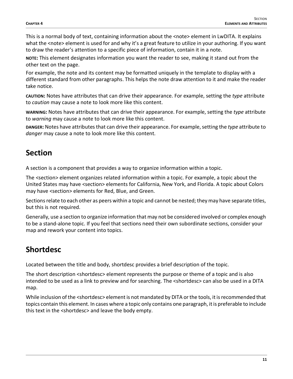This is a normal body of text, containing information about the <note> element in LwDITA. It explains what the <note> element is used for and why it's a great feature to utilize in your authoring. If you want to draw the reader's attention to a specific piece of information, contain it in a note.

**NOTE:** This element designates information you want the reader to see, making it stand out from the other text on the page.

For example, the note and its content may be formatted uniquely in the template to display with a different standard from other paragraphs. This helps the note draw attention to it and make the reader take notice.

**CAUTION:** Notes have attributes that can drive their appearance. For example, setting the *type* attribute to *caution* may cause a note to look more like this content.

**WARNING:** Notes have attributes that can drive their appearance. For example, setting the *type* attribute to *warning* may cause a note to look more like this content.

**DANGER:** Notes have attributes that can drive their appearance. For example, setting the *type* attribute to *danger* may cause a note to look more like this content.

# <span id="page-13-0"></span>**Section**

A section is a component that provides a way to organize information within a topic.

The <section> element organizes related information within a topic. For example, a topic about the United States may have <section> elements for California, New York, and Florida. A topic about Colors may have <section> elements for Red, Blue, and Green.

Sections relate to each other as peers within a topic and cannot be nested; they may have separate titles, but this is not required.

Generally, use a section to organize information that may not be considered involved or complex enough to be a stand-alone topic. If you feel that sections need their own subordinate sections, consider your map and rework your content into topics.

# <span id="page-13-1"></span>**Shortdesc**

Located between the title and body, shortdesc provides a brief description of the topic.

The short description <shortdesc> element represents the purpose or theme of a topic and is also intended to be used as a link to preview and for searching. The <shortdesc> can also be used in a DITA map.

While inclusion of the <shortdesc> element is not mandated by DITA or the tools, it is recommended that topics contain this element. In cases where a topic only contains one paragraph, it is preferable to include this text in the <shortdesc> and leave the body empty.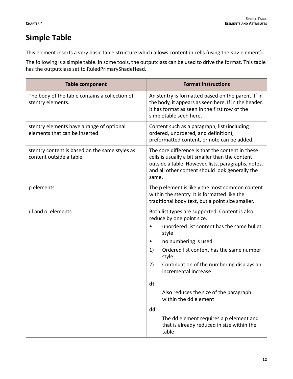# <span id="page-14-0"></span>**Simple Table**

This element inserts a very basic table structure which allows content in cells (using the <p> element).

The following is a simple table. In some tools, the outputclass can be used to drive the format. This table has the outputclass set to RuledPrimaryShadeHead.

| <b>Table component</b>                                                     | <b>Format instructions</b>                                                                                                                                                                                             |
|----------------------------------------------------------------------------|------------------------------------------------------------------------------------------------------------------------------------------------------------------------------------------------------------------------|
| The body of the table contains a collection of<br>stentry elements.        | An stentry is formatted based on the parent. If in<br>the body, it appears as seen here. If in the header,<br>it has format as seen in the first row of the<br>simpletable seen here.                                  |
| stentry elements have a range of optional<br>elements that can be inserted | Content such as a paragraph, list (including<br>ordered, unordered, and definition),<br>preformatted content, or note can be added.                                                                                    |
| stentry content is based on the same styles as<br>content outside a table  | The core difference is that the content in these<br>cells is usually a bit smaller than the content<br>outside a table. However, lists, paragraphs, notes,<br>and all other content should look generally the<br>same. |
| p elements                                                                 | The p element is likely the most common content<br>within the stentry. It is formatted like the<br>traditional body text, but a point size smaller.                                                                    |
| ul and ol elements                                                         | Both list types are supported. Content is also<br>reduce by one point size.                                                                                                                                            |
|                                                                            | unordered list content has the same bullet<br>style                                                                                                                                                                    |
|                                                                            | no numbering is used<br>٠                                                                                                                                                                                              |
|                                                                            | Ordered list content has the same number<br>1)<br>style                                                                                                                                                                |
|                                                                            | Continuation of the numbering displays an<br>2)<br>incremental increase                                                                                                                                                |
|                                                                            | dt                                                                                                                                                                                                                     |
|                                                                            | Also reduces the size of the paragraph<br>within the dd element                                                                                                                                                        |
|                                                                            | dd                                                                                                                                                                                                                     |
|                                                                            | The dd element requires a p element and<br>that is already reduced in size within the<br>table                                                                                                                         |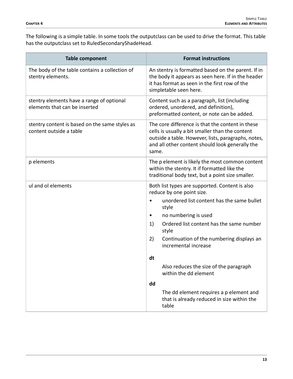The following is a simple table. In some tools the outputclass can be used to drive the format. This table has the outputclass set to RuledSecondaryShadeHead.

| <b>Table component</b>                                                     | <b>Format instructions</b>                                                                                                                                                                                             |
|----------------------------------------------------------------------------|------------------------------------------------------------------------------------------------------------------------------------------------------------------------------------------------------------------------|
| The body of the table contains a collection of<br>stentry elements.        | An stentry is formatted based on the parent. If in<br>the body it appears as seen here. If in the header<br>it has format as seen in the first row of the<br>simpletable seen here.                                    |
| stentry elements have a range of optional<br>elements that can be inserted | Content such as a paragraph, list (including<br>ordered, unordered, and definition),<br>preformatted content, or note can be added.                                                                                    |
| stentry content is based on the same styles as<br>content outside a table  | The core difference is that the content in these<br>cells is usually a bit smaller than the content<br>outside a table. However, lists, paragraphs, notes,<br>and all other content should look generally the<br>same. |
| p elements                                                                 | The p element is likely the most common content<br>within the stentry. It if formatted like the<br>traditional body text, but a point size smaller.                                                                    |
| ul and ol elements                                                         | Both list types are supported. Content is also<br>reduce by one point size.<br>unordered list content has the same bullet                                                                                              |
|                                                                            | style<br>no numbering is used<br>٠                                                                                                                                                                                     |
|                                                                            | Ordered list content has the same number<br>1)<br>style                                                                                                                                                                |
|                                                                            | Continuation of the numbering displays an<br>2)<br>incremental increase                                                                                                                                                |
|                                                                            | dt                                                                                                                                                                                                                     |
|                                                                            | Also reduces the size of the paragraph<br>within the dd element                                                                                                                                                        |
|                                                                            | dd                                                                                                                                                                                                                     |
|                                                                            | The dd element requires a p element and<br>that is already reduced in size within the<br>table                                                                                                                         |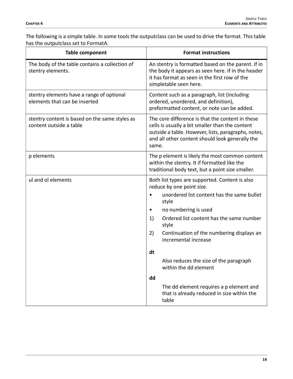The following is a simple table. In some tools the outputclass can be used to drive the format. This table has the outputclass set to FormatA.

| <b>Table component</b>                                                     | <b>Format instructions</b>                                                                                                                                                                                             |
|----------------------------------------------------------------------------|------------------------------------------------------------------------------------------------------------------------------------------------------------------------------------------------------------------------|
| The body of the table contains a collection of<br>stentry elements.        | An stentry is formatted based on the parent. If in<br>the body it appears as seen here. If in the header<br>it has format as seen in the first row of the<br>simpletable seen here.                                    |
| stentry elements have a range of optional<br>elements that can be inserted | Content such as a paragraph, list (including<br>ordered, unordered, and definition),<br>preformatted content, or note can be added.                                                                                    |
| stentry content is based on the same styles as<br>content outside a table  | The core difference is that the content in these<br>cells is usually a bit smaller than the content<br>outside a table. However, lists, paragraphs, notes,<br>and all other content should look generally the<br>same. |
| p elements                                                                 | The p element is likely the most common content<br>within the stentry. It if formatted like the<br>traditional body text, but a point size smaller.                                                                    |
| ul and ol elements                                                         | Both list types are supported. Content is also<br>reduce by one point size.                                                                                                                                            |
|                                                                            | unordered list content has the same bullet<br>style                                                                                                                                                                    |
|                                                                            | no numbering is used                                                                                                                                                                                                   |
|                                                                            | Ordered list content has the same number<br>1)<br>style                                                                                                                                                                |
|                                                                            | Continuation of the numbering displays an<br>2)<br>incremental increase                                                                                                                                                |
|                                                                            | dt                                                                                                                                                                                                                     |
|                                                                            | Also reduces the size of the paragraph<br>within the dd element                                                                                                                                                        |
|                                                                            | dd                                                                                                                                                                                                                     |
|                                                                            | The dd element requires a p element and<br>that is already reduced in size within the<br>table                                                                                                                         |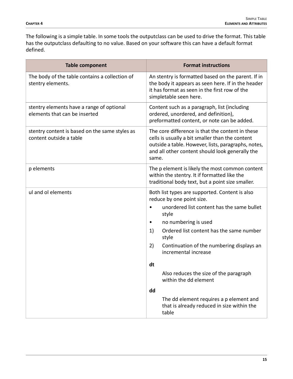The following is a simple table. In some tools the outputclass can be used to drive the format. This table has the outputclass defaulting to no value. Based on your software this can have a default format defined.

| <b>Table component</b>                                                     | <b>Format instructions</b>                                                                                                                                                                                             |
|----------------------------------------------------------------------------|------------------------------------------------------------------------------------------------------------------------------------------------------------------------------------------------------------------------|
| The body of the table contains a collection of<br>stentry elements.        | An stentry is formatted based on the parent. If in<br>the body it appears as seen here. If in the header<br>it has format as seen in the first row of the<br>simpletable seen here.                                    |
| stentry elements have a range of optional<br>elements that can be inserted | Content such as a paragraph, list (including<br>ordered, unordered, and definition),<br>preformatted content, or note can be added.                                                                                    |
| stentry content is based on the same styles as<br>content outside a table  | The core difference is that the content in these<br>cells is usually a bit smaller than the content<br>outside a table. However, lists, paragraphs, notes,<br>and all other content should look generally the<br>same. |
| p elements                                                                 | The p element is likely the most common content<br>within the stentry. It if formatted like the<br>traditional body text, but a point size smaller.                                                                    |
| ul and ol elements                                                         | Both list types are supported. Content is also<br>reduce by one point size.                                                                                                                                            |
|                                                                            | unordered list content has the same bullet<br>style                                                                                                                                                                    |
|                                                                            | no numbering is used<br>$\bullet$                                                                                                                                                                                      |
|                                                                            | Ordered list content has the same number<br>1)<br>style                                                                                                                                                                |
|                                                                            | Continuation of the numbering displays an<br>2)<br>incremental increase                                                                                                                                                |
|                                                                            | dt                                                                                                                                                                                                                     |
|                                                                            | Also reduces the size of the paragraph<br>within the dd element                                                                                                                                                        |
|                                                                            | dd                                                                                                                                                                                                                     |
|                                                                            | The dd element requires a p element and<br>that is already reduced in size within the<br>table                                                                                                                         |